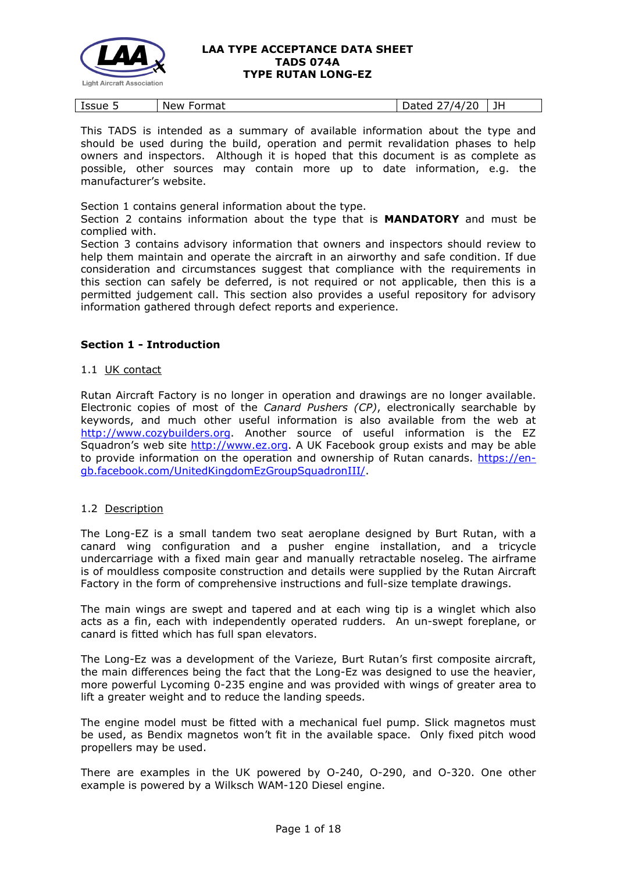

| $\overline{\phantom{a}}$<br>tssue 5 | New<br>$-$<br>mat i<br>u | 1Л<br>----<br>aucu<br>. . | $ -$<br>. . |
|-------------------------------------|--------------------------|---------------------------|-------------|
|-------------------------------------|--------------------------|---------------------------|-------------|

This TADS is intended as a summary of available information about the type and should be used during the build, operation and permit revalidation phases to help owners and inspectors. Although it is hoped that this document is as complete as possible, other sources may contain more up to date information, e.g. the manufacturer's website.

Section 1 contains general information about the type.

Section 2 contains information about the type that is **MANDATORY** and must be complied with.

Section 3 contains advisory information that owners and inspectors should review to help them maintain and operate the aircraft in an airworthy and safe condition. If due consideration and circumstances suggest that compliance with the requirements in this section can safely be deferred, is not required or not applicable, then this is a permitted judgement call. This section also provides a useful repository for advisory information gathered through defect reports and experience.

# **Section 1 - Introduction**

# 1.1 UK contact

Rutan Aircraft Factory is no longer in operation and drawings are no longer available. Electronic copies of most of the *Canard Pushers (CP)*, electronically searchable by keywords, and much other useful information is also available from the web at [http://www.cozybuilders.org.](http://www.cozybuilders.org/) Another source of useful information is the EZ Squadron's web site [http://www.ez.org.](http://www.ez.org/) A UK Facebook group exists and may be able to provide information on the operation and ownership of Rutan canards. [https://en](https://en-gb.facebook.com/UnitedKingdomEzGroupSquadronIII/)[gb.facebook.com/UnitedKingdomEzGroupSquadronIII/.](https://en-gb.facebook.com/UnitedKingdomEzGroupSquadronIII/)

# 1.2 Description

The Long-EZ is a small tandem two seat aeroplane designed by Burt Rutan, with a canard wing configuration and a pusher engine installation, and a tricycle undercarriage with a fixed main gear and manually retractable noseleg. The airframe is of mouldless composite construction and details were supplied by the Rutan Aircraft Factory in the form of comprehensive instructions and full-size template drawings.

The main wings are swept and tapered and at each wing tip is a winglet which also acts as a fin, each with independently operated rudders. An un-swept foreplane, or canard is fitted which has full span elevators.

The Long-Ez was a development of the Varieze, Burt Rutan's first composite aircraft, the main differences being the fact that the Long-Ez was designed to use the heavier, more powerful Lycoming 0-235 engine and was provided with wings of greater area to lift a greater weight and to reduce the landing speeds.

The engine model must be fitted with a mechanical fuel pump. Slick magnetos must be used, as Bendix magnetos won't fit in the available space. Only fixed pitch wood propellers may be used.

There are examples in the UK powered by O-240, O-290, and O-320. One other example is powered by a Wilksch WAM-120 Diesel engine.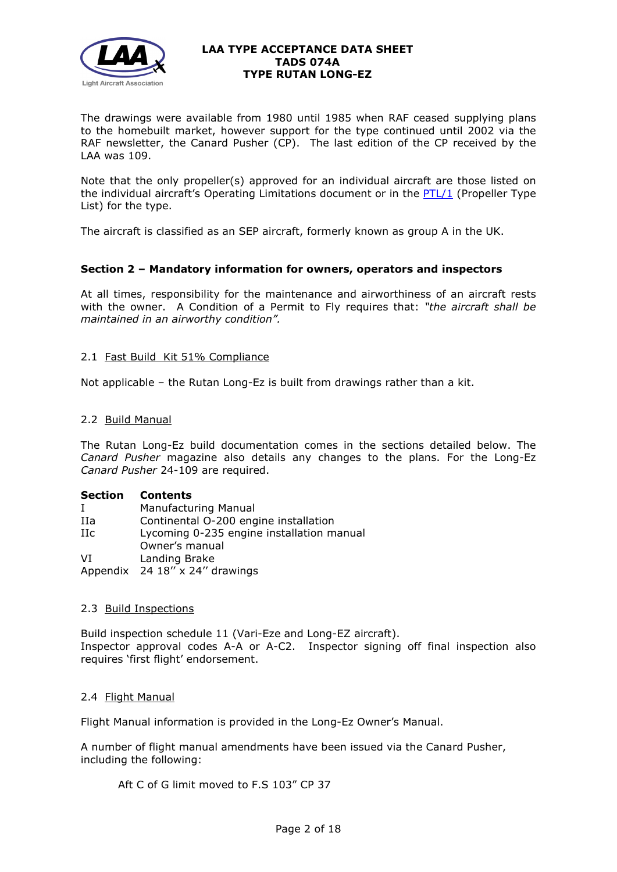

The drawings were available from 1980 until 1985 when RAF ceased supplying plans to the homebuilt market, however support for the type continued until 2002 via the RAF newsletter, the Canard Pusher (CP). The last edition of the CP received by the LAA was 109.

Note that the only propeller(s) approved for an individual aircraft are those listed on the individual aircraft's Operating Limitations document or in the  $PTL/1$  (Propeller Type List) for the type.

The aircraft is classified as an SEP aircraft, formerly known as group A in the UK.

# **Section 2 – Mandatory information for owners, operators and inspectors**

At all times, responsibility for the maintenance and airworthiness of an aircraft rests with the owner. A Condition of a Permit to Fly requires that: *"the aircraft shall be maintained in an airworthy condition".* 

# 2.1 Fast Build Kit 51% Compliance

Not applicable – the Rutan Long-Ez is built from drawings rather than a kit.

# 2.2 Build Manual

The Rutan Long-Ez build documentation comes in the sections detailed below. The *Canard Pusher* magazine also details any changes to the plans. For the Long-Ez *Canard Pusher* 24-109 are required.

# **Section Contents**

| L    | Manufacturing Manual                      |  |
|------|-------------------------------------------|--|
| IIa  | Continental O-200 engine installation     |  |
| IIc. | Lycoming 0-235 engine installation manual |  |
|      | Owner's manual                            |  |
| VĪ   | Landing Brake                             |  |
|      | Appendix 24 18" x 24" drawings            |  |

# 2.3 Build Inspections

Build inspection schedule 11 (Vari-Eze and Long-EZ aircraft). Inspector approval codes A-A or A-C2. Inspector signing off final inspection also requires 'first flight' endorsement.

# 2.4 Flight Manual

Flight Manual information is provided in the Long-Ez Owner's Manual.

A number of flight manual amendments have been issued via the Canard Pusher, including the following:

Aft C of G limit moved to F.S 103" CP 37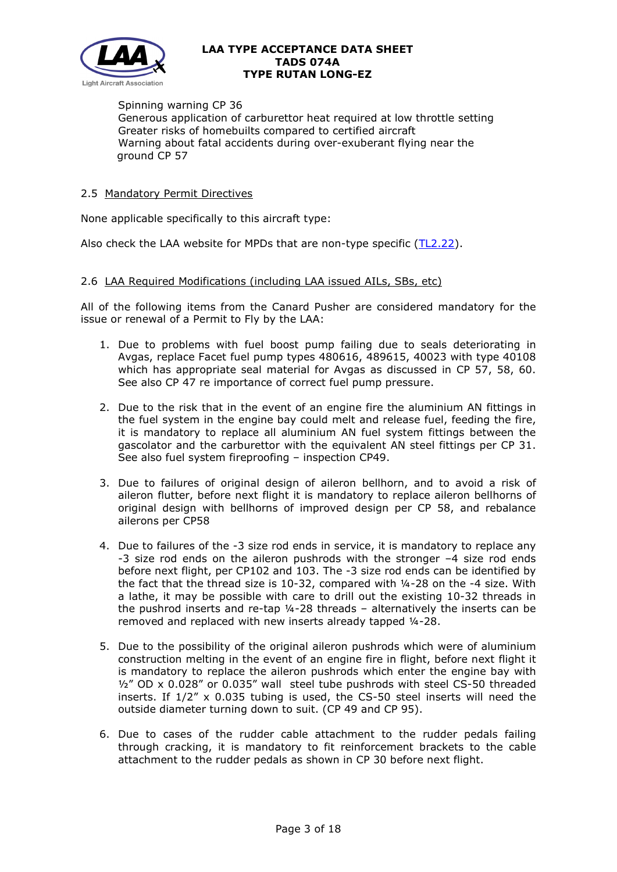

Spinning warning CP 36 Generous application of carburettor heat required at low throttle setting Greater risks of homebuilts compared to certified aircraft Warning about fatal accidents during over-exuberant flying near the ground CP 57

# 2.5 Mandatory Permit Directives

None applicable specifically to this aircraft type:

Also check the LAA website for MPDs that are non-type specific [\(TL2.22\)](http://www.lightaircraftassociation.co.uk/engineering/TechnicalLeaflets/Operating%20An%20Aircraft/TL%202.22%20non-type%20specific%20MPDs.pdf).

# 2.6 LAA Required Modifications (including LAA issued AILs, SBs, etc)

All of the following items from the Canard Pusher are considered mandatory for the issue or renewal of a Permit to Fly by the LAA:

- 1. Due to problems with fuel boost pump failing due to seals deteriorating in Avgas, replace Facet fuel pump types 480616, 489615, 40023 with type 40108 which has appropriate seal material for Avgas as discussed in CP 57, 58, 60. See also CP 47 re importance of correct fuel pump pressure.
- 2. Due to the risk that in the event of an engine fire the aluminium AN fittings in the fuel system in the engine bay could melt and release fuel, feeding the fire, it is mandatory to replace all aluminium AN fuel system fittings between the gascolator and the carburettor with the equivalent AN steel fittings per CP 31. See also fuel system fireproofing – inspection CP49.
- 3. Due to failures of original design of aileron bellhorn, and to avoid a risk of aileron flutter, before next flight it is mandatory to replace aileron bellhorns of original design with bellhorns of improved design per CP 58, and rebalance ailerons per CP58
- 4. Due to failures of the -3 size rod ends in service, it is mandatory to replace any -3 size rod ends on the aileron pushrods with the stronger –4 size rod ends before next flight, per CP102 and 103. The -3 size rod ends can be identified by the fact that the thread size is 10-32, compared with ¼-28 on the -4 size. With a lathe, it may be possible with care to drill out the existing 10-32 threads in the pushrod inserts and re-tap ¼-28 threads – alternatively the inserts can be removed and replaced with new inserts already tapped ¼-28.
- 5. Due to the possibility of the original aileron pushrods which were of aluminium construction melting in the event of an engine fire in flight, before next flight it is mandatory to replace the aileron pushrods which enter the engine bay with ½" OD x 0.028" or 0.035" wall steel tube pushrods with steel CS-50 threaded inserts. If 1/2" x 0.035 tubing is used, the CS-50 steel inserts will need the outside diameter turning down to suit. (CP 49 and CP 95).
- 6. Due to cases of the rudder cable attachment to the rudder pedals failing through cracking, it is mandatory to fit reinforcement brackets to the cable attachment to the rudder pedals as shown in CP 30 before next flight.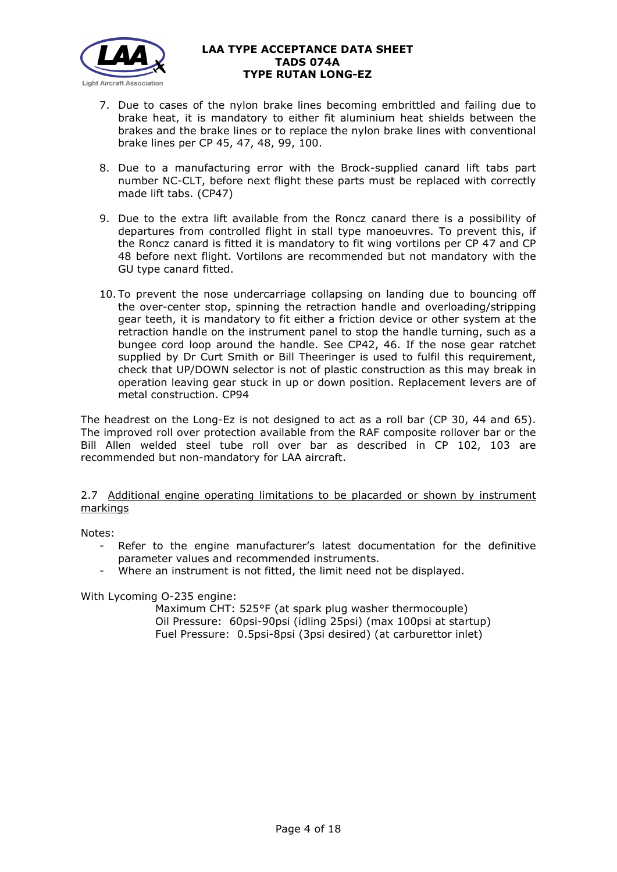

- 7. Due to cases of the nylon brake lines becoming embrittled and failing due to brake heat, it is mandatory to either fit aluminium heat shields between the brakes and the brake lines or to replace the nylon brake lines with conventional brake lines per CP 45, 47, 48, 99, 100.
- 8. Due to a manufacturing error with the Brock-supplied canard lift tabs part number NC-CLT, before next flight these parts must be replaced with correctly made lift tabs. (CP47)
- 9. Due to the extra lift available from the Roncz canard there is a possibility of departures from controlled flight in stall type manoeuvres. To prevent this, if the Roncz canard is fitted it is mandatory to fit wing vortilons per CP 47 and CP 48 before next flight. Vortilons are recommended but not mandatory with the GU type canard fitted.
- 10. To prevent the nose undercarriage collapsing on landing due to bouncing off the over-center stop, spinning the retraction handle and overloading/stripping gear teeth, it is mandatory to fit either a friction device or other system at the retraction handle on the instrument panel to stop the handle turning, such as a bungee cord loop around the handle. See CP42, 46. If the nose gear ratchet supplied by Dr Curt Smith or Bill Theeringer is used to fulfil this requirement, check that UP/DOWN selector is not of plastic construction as this may break in operation leaving gear stuck in up or down position. Replacement levers are of metal construction. CP94

The headrest on the Long-Ez is not designed to act as a roll bar (CP 30, 44 and 65). The improved roll over protection available from the RAF composite rollover bar or the Bill Allen welded steel tube roll over bar as described in CP 102, 103 are recommended but non-mandatory for LAA aircraft.

2.7 Additional engine operating limitations to be placarded or shown by instrument markings

Notes:

- Refer to the engine manufacturer's latest documentation for the definitive parameter values and recommended instruments.
- Where an instrument is not fitted, the limit need not be displayed.

With Lycoming O-235 engine:

Maximum CHT: 525°F (at spark plug washer thermocouple) Oil Pressure: 60psi-90psi (idling 25psi) (max 100psi at startup) Fuel Pressure: 0.5psi-8psi (3psi desired) (at carburettor inlet)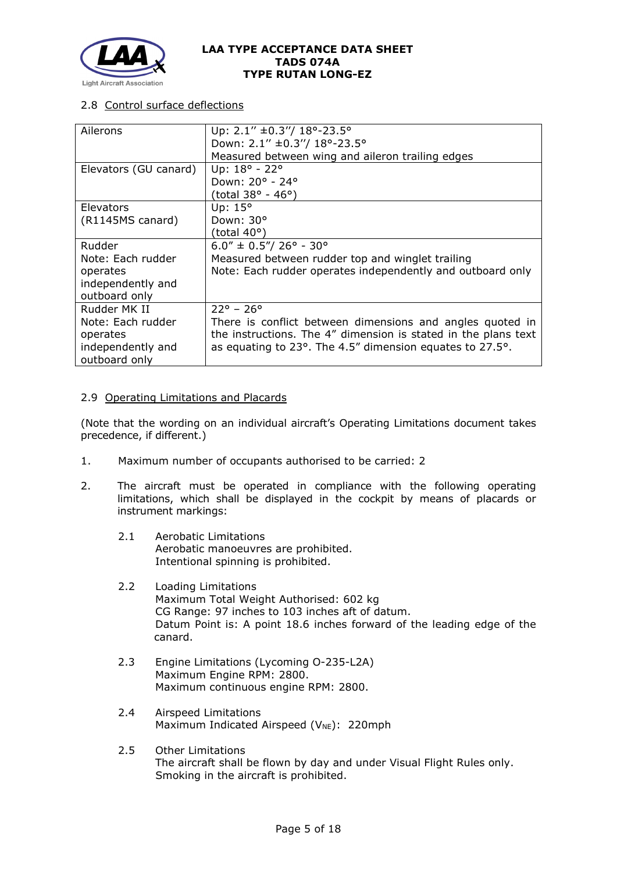

# 2.8 Control surface deflections

| Ailerons              | Up: $2.1''$ ±0.3"/ 18°-23.5°                                   |
|-----------------------|----------------------------------------------------------------|
|                       | Down: 2.1" ±0.3"/ 18°-23.5°                                    |
|                       | Measured between wing and aileron trailing edges               |
| Elevators (GU canard) | Up: 18° - 22°                                                  |
|                       | Down: 20° - 24°                                                |
|                       | (total 38° - 46°)                                              |
| Elevators             | Up: 15°                                                        |
| (R1145MS canard)      | Down: 30°                                                      |
|                       | (total $40^{\circ}$ )                                          |
| Rudder                | $6.0'' \pm 0.5'' / 26^{\circ} - 30^{\circ}$                    |
| Note: Each rudder     | Measured between rudder top and winglet trailing               |
| operates              | Note: Each rudder operates independently and outboard only     |
| independently and     |                                                                |
| outboard only         |                                                                |
| Rudder MK II          | $22^{\circ}$ – 26 $^{\circ}$                                   |
| Note: Each rudder     | There is conflict between dimensions and angles quoted in      |
| operates              | the instructions. The 4" dimension is stated in the plans text |
| independently and     | as equating to 23°. The 4.5" dimension equates to 27.5°.       |
| outboard only         |                                                                |

# 2.9 Operating Limitations and Placards

(Note that the wording on an individual aircraft's Operating Limitations document takes precedence, if different.)

- 1. Maximum number of occupants authorised to be carried: 2
- 2. The aircraft must be operated in compliance with the following operating limitations, which shall be displayed in the cockpit by means of placards or instrument markings:
	- 2.1 Aerobatic Limitations Aerobatic manoeuvres are prohibited. Intentional spinning is prohibited.
	- 2.2 Loading Limitations Maximum Total Weight Authorised: 602 kg CG Range: 97 inches to 103 inches aft of datum. Datum Point is: A point 18.6 inches forward of the leading edge of the canard.
	- 2.3 Engine Limitations (Lycoming O-235-L2A) Maximum Engine RPM: 2800. Maximum continuous engine RPM: 2800.
	- 2.4 Airspeed Limitations Maximum Indicated Airspeed ( $V_{NE}$ ): 220mph
	- 2.5 Other Limitations The aircraft shall be flown by day and under Visual Flight Rules only. Smoking in the aircraft is prohibited.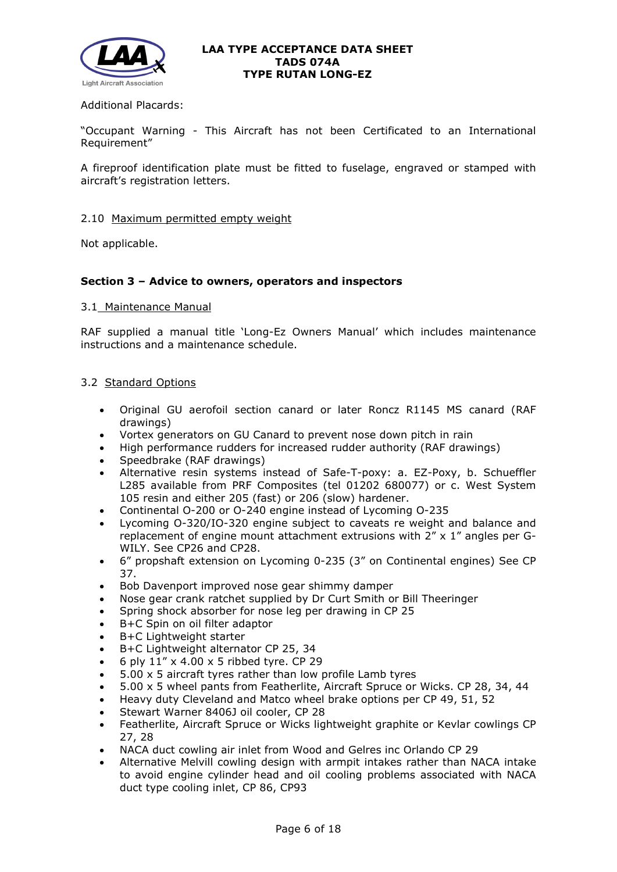

# Additional Placards:

"Occupant Warning - This Aircraft has not been Certificated to an International Requirement"

A fireproof identification plate must be fitted to fuselage, engraved or stamped with aircraft's registration letters.

#### 2.10 Maximum permitted empty weight

Not applicable.

# **Section 3 – Advice to owners, operators and inspectors**

#### 3.1 Maintenance Manual

RAF supplied a manual title 'Long-Ez Owners Manual' which includes maintenance instructions and a maintenance schedule.

# 3.2 Standard Options

- Original GU aerofoil section canard or later Roncz R1145 MS canard (RAF drawings)
- Vortex generators on GU Canard to prevent nose down pitch in rain
- High performance rudders for increased rudder authority (RAF drawings)
- Speedbrake (RAF drawings)
- Alternative resin systems instead of Safe-T-poxy: a. EZ-Poxy, b. Schueffler L285 available from PRF Composites (tel 01202 680077) or c. West System 105 resin and either 205 (fast) or 206 (slow) hardener.
- Continental O-200 or O-240 engine instead of Lycoming O-235
- Lycoming O-320/IO-320 engine subject to caveats re weight and balance and replacement of engine mount attachment extrusions with 2" x 1" angles per G-WILY. See CP26 and CP28.
- 6" propshaft extension on Lycoming 0-235 (3" on Continental engines) See CP 37.
- Bob Davenport improved nose gear shimmy damper
- Nose gear crank ratchet supplied by Dr Curt Smith or Bill Theeringer
- Spring shock absorber for nose leg per drawing in CP 25
- B+C Spin on oil filter adaptor
- B+C Lightweight starter
- B+C Lightweight alternator CP 25, 34
- 6 ply 11" x 4.00 x 5 ribbed tyre. CP 29
- $5.00 \times 5$  aircraft tyres rather than low profile Lamb tyres
- 5.00 x 5 wheel pants from Featherlite, Aircraft Spruce or Wicks. CP 28, 34, 44
- Heavy duty Cleveland and Matco wheel brake options per CP 49, 51, 52
- Stewart Warner 8406J oil cooler, CP 28
- Featherlite, Aircraft Spruce or Wicks lightweight graphite or Kevlar cowlings CP 27, 28
- NACA duct cowling air inlet from Wood and Gelres inc Orlando CP 29
- Alternative Melvill cowling design with armpit intakes rather than NACA intake to avoid engine cylinder head and oil cooling problems associated with NACA duct type cooling inlet, CP 86, CP93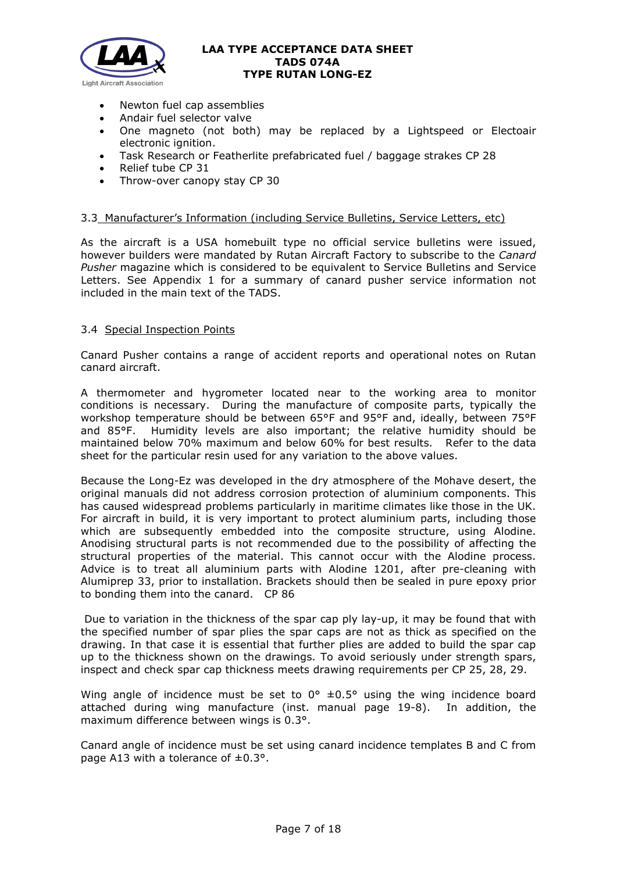

- Newton fuel cap assemblies
- Andair fuel selector valve
- One magneto (not both) may be replaced by a Lightspeed or Electoair electronic ignition.
- Task Research or Featherlite prefabricated fuel / baggage strakes CP 28
- Relief tube CP 31
- Throw-over canopy stay CP 30

# 3.3 Manufacturer's Information (including Service Bulletins, Service Letters, etc)

As the aircraft is a USA homebuilt type no official service bulletins were issued, however builders were mandated by Rutan Aircraft Factory to subscribe to the *Canard Pusher* magazine which is considered to be equivalent to Service Bulletins and Service Letters. See Appendix 1 for a summary of canard pusher service information not included in the main text of the TADS.

# 3.4 Special Inspection Points

Canard Pusher contains a range of accident reports and operational notes on Rutan canard aircraft.

A thermometer and hygrometer located near to the working area to monitor conditions is necessary. During the manufacture of composite parts, typically the workshop temperature should be between 65°F and 95°F and, ideally, between 75°F and 85°F. Humidity levels are also important; the relative humidity should be maintained below 70% maximum and below 60% for best results. Refer to the data sheet for the particular resin used for any variation to the above values.

Because the Long-Ez was developed in the dry atmosphere of the Mohave desert, the original manuals did not address corrosion protection of aluminium components. This has caused widespread problems particularly in maritime climates like those in the UK. For aircraft in build, it is very important to protect aluminium parts, including those which are subsequently embedded into the composite structure, using Alodine. Anodising structural parts is not recommended due to the possibility of affecting the structural properties of the material. This cannot occur with the Alodine process. Advice is to treat all aluminium parts with Alodine 1201, after pre-cleaning with Alumiprep 33, prior to installation. Brackets should then be sealed in pure epoxy prior to bonding them into the canard. CP 86

Due to variation in the thickness of the spar cap ply lay-up, it may be found that with the specified number of spar plies the spar caps are not as thick as specified on the drawing. In that case it is essential that further plies are added to build the spar cap up to the thickness shown on the drawings. To avoid seriously under strength spars, inspect and check spar cap thickness meets drawing requirements per CP 25, 28, 29.

Wing angle of incidence must be set to  $0^{\circ}$   $\pm 0.5^{\circ}$  using the wing incidence board attached during wing manufacture (inst. manual page 19-8). In addition, the maximum difference between wings is 0.3°.

Canard angle of incidence must be set using canard incidence templates B and C from page A13 with a tolerance of  $\pm 0.3$ °.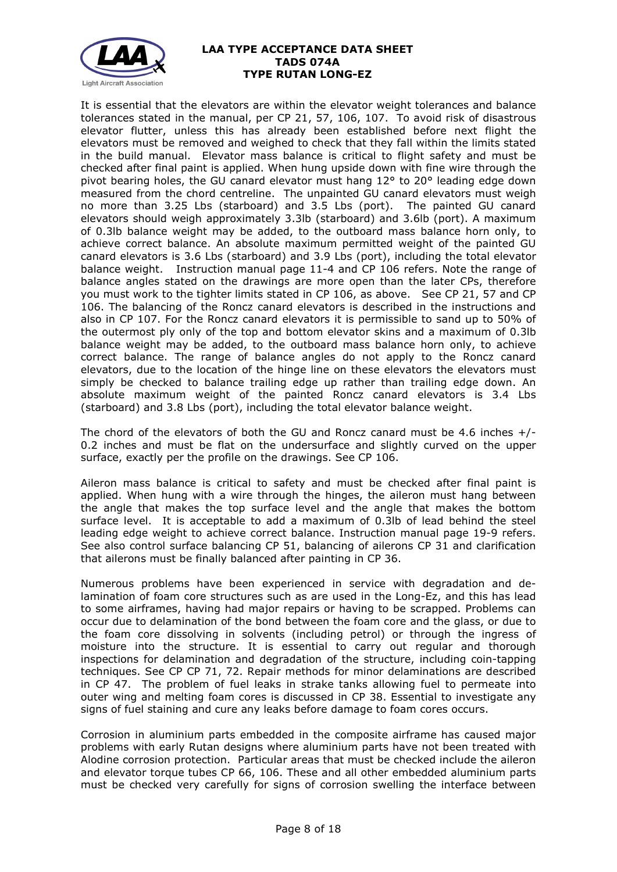

It is essential that the elevators are within the elevator weight tolerances and balance tolerances stated in the manual, per CP 21, 57, 106, 107. To avoid risk of disastrous elevator flutter, unless this has already been established before next flight the elevators must be removed and weighed to check that they fall within the limits stated in the build manual. Elevator mass balance is critical to flight safety and must be checked after final paint is applied. When hung upside down with fine wire through the pivot bearing holes, the GU canard elevator must hang 12° to 20° leading edge down measured from the chord centreline. The unpainted GU canard elevators must weigh no more than 3.25 Lbs (starboard) and 3.5 Lbs (port). The painted GU canard elevators should weigh approximately 3.3lb (starboard) and 3.6lb (port). A maximum of 0.3lb balance weight may be added, to the outboard mass balance horn only, to achieve correct balance. An absolute maximum permitted weight of the painted GU canard elevators is 3.6 Lbs (starboard) and 3.9 Lbs (port), including the total elevator balance weight. Instruction manual page 11-4 and CP 106 refers. Note the range of balance angles stated on the drawings are more open than the later CPs, therefore you must work to the tighter limits stated in CP 106, as above. See CP 21, 57 and CP 106. The balancing of the Roncz canard elevators is described in the instructions and also in CP 107. For the Roncz canard elevators it is permissible to sand up to 50% of the outermost ply only of the top and bottom elevator skins and a maximum of 0.3lb balance weight may be added, to the outboard mass balance horn only, to achieve correct balance. The range of balance angles do not apply to the Roncz canard elevators, due to the location of the hinge line on these elevators the elevators must simply be checked to balance trailing edge up rather than trailing edge down. An absolute maximum weight of the painted Roncz canard elevators is 3.4 Lbs (starboard) and 3.8 Lbs (port), including the total elevator balance weight.

The chord of the elevators of both the GU and Roncz canard must be 4.6 inches +/- 0.2 inches and must be flat on the undersurface and slightly curved on the upper surface, exactly per the profile on the drawings. See CP 106.

Aileron mass balance is critical to safety and must be checked after final paint is applied. When hung with a wire through the hinges, the aileron must hang between the angle that makes the top surface level and the angle that makes the bottom surface level. It is acceptable to add a maximum of 0.3lb of lead behind the steel leading edge weight to achieve correct balance. Instruction manual page 19-9 refers. See also control surface balancing CP 51, balancing of ailerons CP 31 and clarification that ailerons must be finally balanced after painting in CP 36.

Numerous problems have been experienced in service with degradation and delamination of foam core structures such as are used in the Long-Ez, and this has lead to some airframes, having had major repairs or having to be scrapped. Problems can occur due to delamination of the bond between the foam core and the glass, or due to the foam core dissolving in solvents (including petrol) or through the ingress of moisture into the structure. It is essential to carry out regular and thorough inspections for delamination and degradation of the structure, including coin-tapping techniques. See CP CP 71, 72. Repair methods for minor delaminations are described in CP 47. The problem of fuel leaks in strake tanks allowing fuel to permeate into outer wing and melting foam cores is discussed in CP 38. Essential to investigate any signs of fuel staining and cure any leaks before damage to foam cores occurs.

Corrosion in aluminium parts embedded in the composite airframe has caused major problems with early Rutan designs where aluminium parts have not been treated with Alodine corrosion protection. Particular areas that must be checked include the aileron and elevator torque tubes CP 66, 106. These and all other embedded aluminium parts must be checked very carefully for signs of corrosion swelling the interface between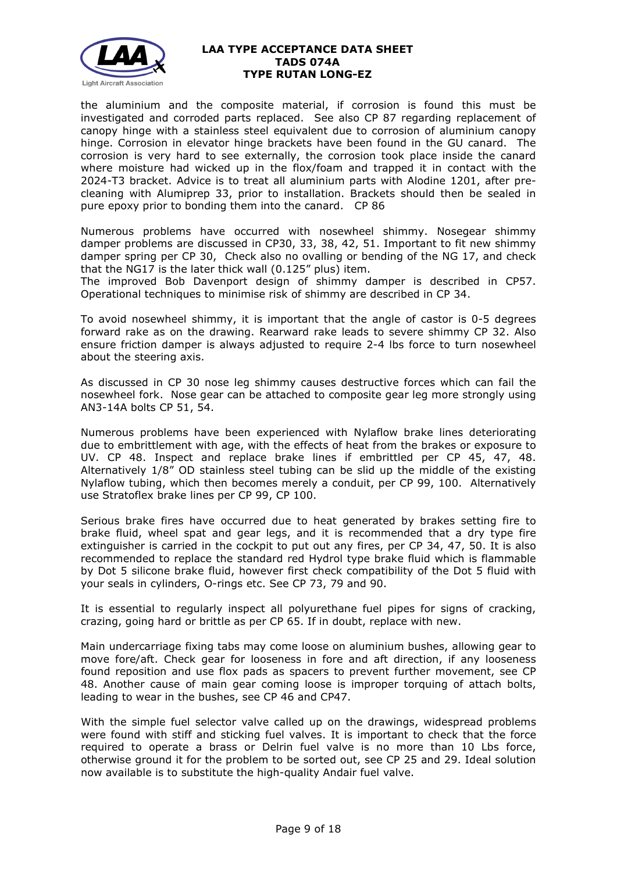

the aluminium and the composite material, if corrosion is found this must be investigated and corroded parts replaced. See also CP 87 regarding replacement of canopy hinge with a stainless steel equivalent due to corrosion of aluminium canopy hinge. Corrosion in elevator hinge brackets have been found in the GU canard. The corrosion is very hard to see externally, the corrosion took place inside the canard where moisture had wicked up in the flox/foam and trapped it in contact with the 2024-T3 bracket. Advice is to treat all aluminium parts with Alodine 1201, after precleaning with Alumiprep 33, prior to installation. Brackets should then be sealed in pure epoxy prior to bonding them into the canard. CP 86

Numerous problems have occurred with nosewheel shimmy. Nosegear shimmy damper problems are discussed in CP30, 33, 38, 42, 51. Important to fit new shimmy damper spring per CP 30, Check also no ovalling or bending of the NG 17, and check that the NG17 is the later thick wall (0.125" plus) item.

The improved Bob Davenport design of shimmy damper is described in CP57. Operational techniques to minimise risk of shimmy are described in CP 34.

To avoid nosewheel shimmy, it is important that the angle of castor is 0-5 degrees forward rake as on the drawing. Rearward rake leads to severe shimmy CP 32. Also ensure friction damper is always adjusted to require 2-4 lbs force to turn nosewheel about the steering axis.

As discussed in CP 30 nose leg shimmy causes destructive forces which can fail the nosewheel fork. Nose gear can be attached to composite gear leg more strongly using AN3-14A bolts CP 51, 54.

Numerous problems have been experienced with Nylaflow brake lines deteriorating due to embrittlement with age, with the effects of heat from the brakes or exposure to UV. CP 48. Inspect and replace brake lines if embrittled per CP 45, 47, 48. Alternatively 1/8" OD stainless steel tubing can be slid up the middle of the existing Nylaflow tubing, which then becomes merely a conduit, per CP 99, 100. Alternatively use Stratoflex brake lines per CP 99, CP 100.

Serious brake fires have occurred due to heat generated by brakes setting fire to brake fluid, wheel spat and gear legs, and it is recommended that a dry type fire extinguisher is carried in the cockpit to put out any fires, per CP 34, 47, 50. It is also recommended to replace the standard red Hydrol type brake fluid which is flammable by Dot 5 silicone brake fluid, however first check compatibility of the Dot 5 fluid with your seals in cylinders, O-rings etc. See CP 73, 79 and 90.

It is essential to regularly inspect all polyurethane fuel pipes for signs of cracking, crazing, going hard or brittle as per CP 65. If in doubt, replace with new.

Main undercarriage fixing tabs may come loose on aluminium bushes, allowing gear to move fore/aft. Check gear for looseness in fore and aft direction, if any looseness found reposition and use flox pads as spacers to prevent further movement, see CP 48. Another cause of main gear coming loose is improper torquing of attach bolts, leading to wear in the bushes, see CP 46 and CP47.

With the simple fuel selector valve called up on the drawings, widespread problems were found with stiff and sticking fuel valves. It is important to check that the force required to operate a brass or Delrin fuel valve is no more than 10 Lbs force, otherwise ground it for the problem to be sorted out, see CP 25 and 29. Ideal solution now available is to substitute the high-quality Andair fuel valve.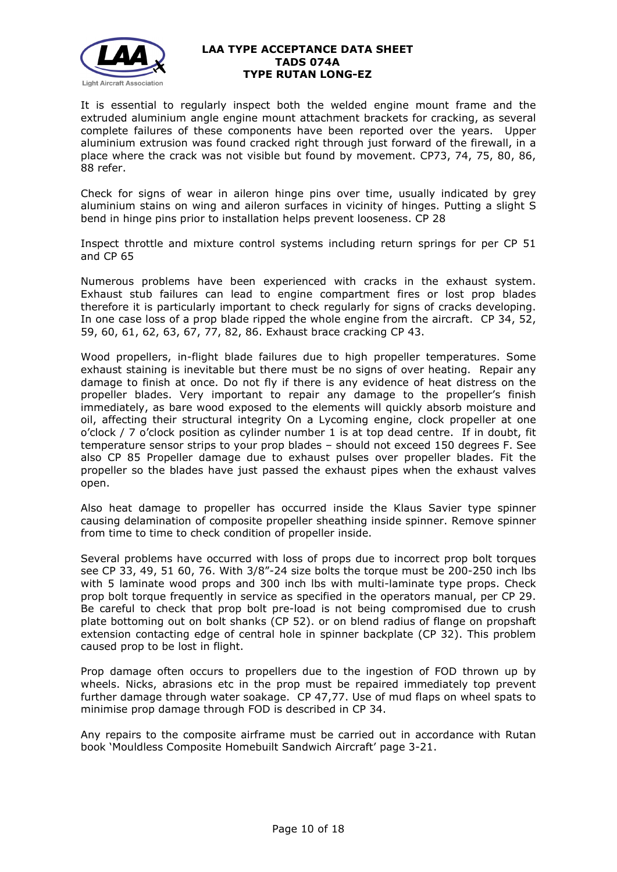

It is essential to regularly inspect both the welded engine mount frame and the extruded aluminium angle engine mount attachment brackets for cracking, as several complete failures of these components have been reported over the years. Upper aluminium extrusion was found cracked right through just forward of the firewall, in a place where the crack was not visible but found by movement. CP73, 74, 75, 80, 86, 88 refer.

Check for signs of wear in aileron hinge pins over time, usually indicated by grey aluminium stains on wing and aileron surfaces in vicinity of hinges. Putting a slight S bend in hinge pins prior to installation helps prevent looseness. CP 28

Inspect throttle and mixture control systems including return springs for per CP 51 and CP 65

Numerous problems have been experienced with cracks in the exhaust system. Exhaust stub failures can lead to engine compartment fires or lost prop blades therefore it is particularly important to check regularly for signs of cracks developing. In one case loss of a prop blade ripped the whole engine from the aircraft. CP 34, 52, 59, 60, 61, 62, 63, 67, 77, 82, 86. Exhaust brace cracking CP 43.

Wood propellers, in-flight blade failures due to high propeller temperatures. Some exhaust staining is inevitable but there must be no signs of over heating. Repair any damage to finish at once. Do not fly if there is any evidence of heat distress on the propeller blades. Very important to repair any damage to the propeller's finish immediately, as bare wood exposed to the elements will quickly absorb moisture and oil, affecting their structural integrity On a Lycoming engine, clock propeller at one o'clock / 7 o'clock position as cylinder number 1 is at top dead centre. If in doubt, fit temperature sensor strips to your prop blades – should not exceed 150 degrees F. See also CP 85 Propeller damage due to exhaust pulses over propeller blades. Fit the propeller so the blades have just passed the exhaust pipes when the exhaust valves open.

Also heat damage to propeller has occurred inside the Klaus Savier type spinner causing delamination of composite propeller sheathing inside spinner. Remove spinner from time to time to check condition of propeller inside.

Several problems have occurred with loss of props due to incorrect prop bolt torques see CP 33, 49, 51 60, 76. With 3/8"-24 size bolts the torque must be 200-250 inch lbs with 5 laminate wood props and 300 inch lbs with multi-laminate type props. Check prop bolt torque frequently in service as specified in the operators manual, per CP 29. Be careful to check that prop bolt pre-load is not being compromised due to crush plate bottoming out on bolt shanks (CP 52). or on blend radius of flange on propshaft extension contacting edge of central hole in spinner backplate (CP 32). This problem caused prop to be lost in flight.

Prop damage often occurs to propellers due to the ingestion of FOD thrown up by wheels. Nicks, abrasions etc in the prop must be repaired immediately top prevent further damage through water soakage. CP 47,77. Use of mud flaps on wheel spats to minimise prop damage through FOD is described in CP 34.

Any repairs to the composite airframe must be carried out in accordance with Rutan book 'Mouldless Composite Homebuilt Sandwich Aircraft' page 3-21.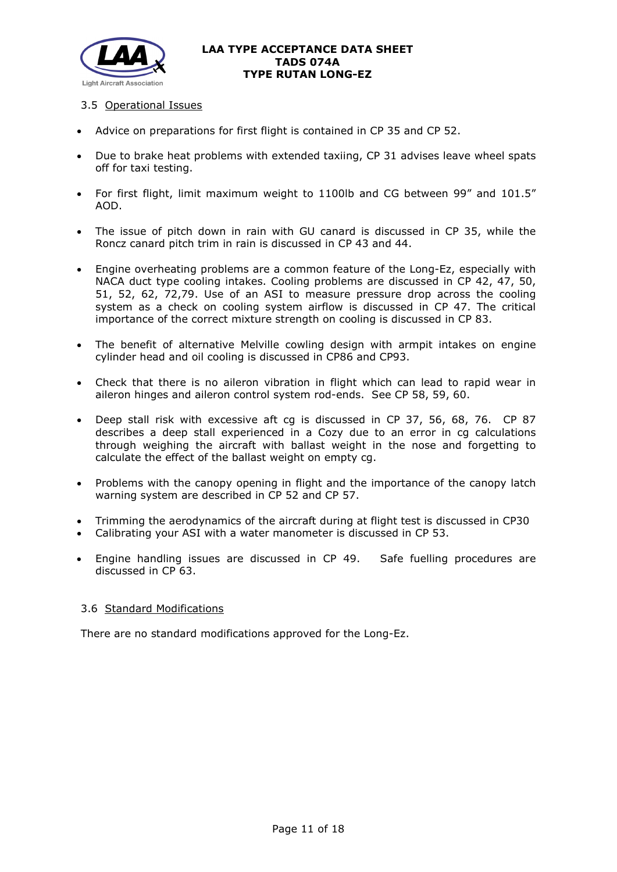

# 3.5 Operational Issues

- Advice on preparations for first flight is contained in CP 35 and CP 52.
- Due to brake heat problems with extended taxiing, CP 31 advises leave wheel spats off for taxi testing.
- For first flight, limit maximum weight to 1100lb and CG between 99" and 101.5" AOD.
- The issue of pitch down in rain with GU canard is discussed in CP 35, while the Roncz canard pitch trim in rain is discussed in CP 43 and 44.
- Engine overheating problems are a common feature of the Long-Ez, especially with NACA duct type cooling intakes. Cooling problems are discussed in CP 42, 47, 50, 51, 52, 62, 72,79. Use of an ASI to measure pressure drop across the cooling system as a check on cooling system airflow is discussed in CP 47. The critical importance of the correct mixture strength on cooling is discussed in CP 83.
- The benefit of alternative Melville cowling design with armpit intakes on engine cylinder head and oil cooling is discussed in CP86 and CP93.
- Check that there is no aileron vibration in flight which can lead to rapid wear in aileron hinges and aileron control system rod-ends. See CP 58, 59, 60.
- Deep stall risk with excessive aft cg is discussed in CP 37, 56, 68, 76. CP 87 describes a deep stall experienced in a Cozy due to an error in cg calculations through weighing the aircraft with ballast weight in the nose and forgetting to calculate the effect of the ballast weight on empty cg.
- Problems with the canopy opening in flight and the importance of the canopy latch warning system are described in CP 52 and CP 57.
- Trimming the aerodynamics of the aircraft during at flight test is discussed in CP30
- Calibrating your ASI with a water manometer is discussed in CP 53.
- Engine handling issues are discussed in CP 49. Safe fuelling procedures are discussed in CP 63.

# 3.6 Standard Modifications

There are no standard modifications approved for the Long-Ez.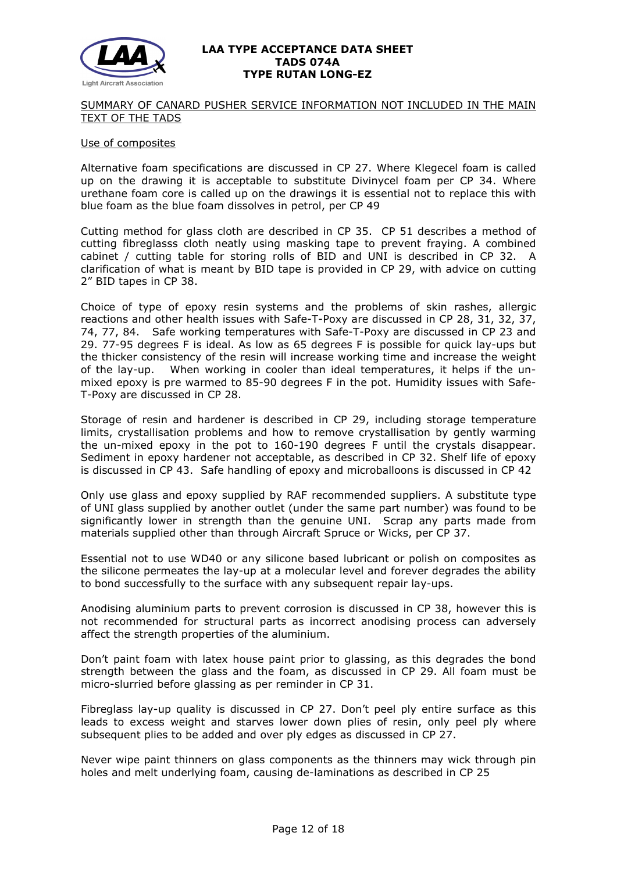

#### SUMMARY OF CANARD PUSHER SERVICE INFORMATION NOT INCLUDED IN THE MAIN TEXT OF THE TADS

#### Use of composites

Alternative foam specifications are discussed in CP 27. Where Klegecel foam is called up on the drawing it is acceptable to substitute Divinycel foam per CP 34. Where urethane foam core is called up on the drawings it is essential not to replace this with blue foam as the blue foam dissolves in petrol, per CP 49

Cutting method for glass cloth are described in CP 35. CP 51 describes a method of cutting fibreglasss cloth neatly using masking tape to prevent fraying. A combined cabinet / cutting table for storing rolls of BID and UNI is described in CP 32. A clarification of what is meant by BID tape is provided in CP 29, with advice on cutting 2" BID tapes in CP 38.

Choice of type of epoxy resin systems and the problems of skin rashes, allergic reactions and other health issues with Safe-T-Poxy are discussed in CP 28, 31, 32, 37, 74, 77, 84. Safe working temperatures with Safe-T-Poxy are discussed in CP 23 and 29. 77-95 degrees F is ideal. As low as 65 degrees F is possible for quick lay-ups but the thicker consistency of the resin will increase working time and increase the weight of the lay-up. When working in cooler than ideal temperatures, it helps if the unmixed epoxy is pre warmed to 85-90 degrees F in the pot. Humidity issues with Safe-T-Poxy are discussed in CP 28.

Storage of resin and hardener is described in CP 29, including storage temperature limits, crystallisation problems and how to remove crystallisation by gently warming the un-mixed epoxy in the pot to 160-190 degrees F until the crystals disappear. Sediment in epoxy hardener not acceptable, as described in CP 32. Shelf life of epoxy is discussed in CP 43. Safe handling of epoxy and microballoons is discussed in CP 42

Only use glass and epoxy supplied by RAF recommended suppliers. A substitute type of UNI glass supplied by another outlet (under the same part number) was found to be significantly lower in strength than the genuine UNI. Scrap any parts made from materials supplied other than through Aircraft Spruce or Wicks, per CP 37.

Essential not to use WD40 or any silicone based lubricant or polish on composites as the silicone permeates the lay-up at a molecular level and forever degrades the ability to bond successfully to the surface with any subsequent repair lay-ups.

Anodising aluminium parts to prevent corrosion is discussed in CP 38, however this is not recommended for structural parts as incorrect anodising process can adversely affect the strength properties of the aluminium.

Don't paint foam with latex house paint prior to glassing, as this degrades the bond strength between the glass and the foam, as discussed in CP 29. All foam must be micro-slurried before glassing as per reminder in CP 31.

Fibreglass lay-up quality is discussed in CP 27. Don't peel ply entire surface as this leads to excess weight and starves lower down plies of resin, only peel ply where subsequent plies to be added and over ply edges as discussed in CP 27.

Never wipe paint thinners on glass components as the thinners may wick through pin holes and melt underlying foam, causing de-laminations as described in CP 25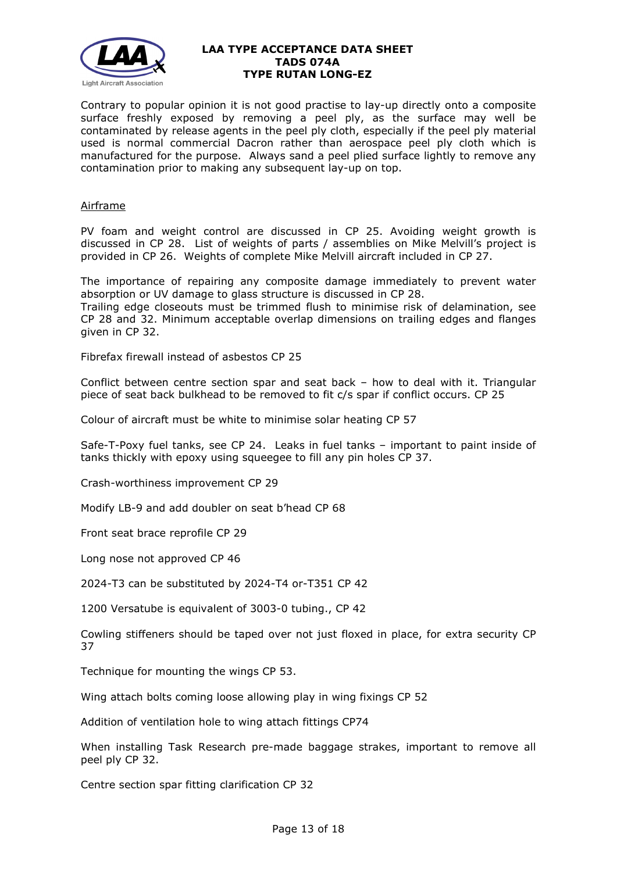

Contrary to popular opinion it is not good practise to lay-up directly onto a composite surface freshly exposed by removing a peel ply, as the surface may well be contaminated by release agents in the peel ply cloth, especially if the peel ply material used is normal commercial Dacron rather than aerospace peel ply cloth which is manufactured for the purpose. Always sand a peel plied surface lightly to remove any contamination prior to making any subsequent lay-up on top.

# Airframe

PV foam and weight control are discussed in CP 25. Avoiding weight growth is discussed in CP 28. List of weights of parts / assemblies on Mike Melvill's project is provided in CP 26. Weights of complete Mike Melvill aircraft included in CP 27.

The importance of repairing any composite damage immediately to prevent water absorption or UV damage to glass structure is discussed in CP 28.

Trailing edge closeouts must be trimmed flush to minimise risk of delamination, see CP 28 and 32. Minimum acceptable overlap dimensions on trailing edges and flanges given in CP 32.

Fibrefax firewall instead of asbestos CP 25

Conflict between centre section spar and seat back – how to deal with it. Triangular piece of seat back bulkhead to be removed to fit c/s spar if conflict occurs. CP 25

Colour of aircraft must be white to minimise solar heating CP 57

Safe-T-Poxy fuel tanks, see CP 24. Leaks in fuel tanks – important to paint inside of tanks thickly with epoxy using squeegee to fill any pin holes CP 37.

Crash-worthiness improvement CP 29

Modify LB-9 and add doubler on seat b'head CP 68

Front seat brace reprofile CP 29

Long nose not approved CP 46

2024-T3 can be substituted by 2024-T4 or-T351 CP 42

1200 Versatube is equivalent of 3003-0 tubing., CP 42

Cowling stiffeners should be taped over not just floxed in place, for extra security CP 37

Technique for mounting the wings CP 53.

Wing attach bolts coming loose allowing play in wing fixings CP 52

Addition of ventilation hole to wing attach fittings CP74

When installing Task Research pre-made baggage strakes, important to remove all peel ply CP 32.

Centre section spar fitting clarification CP 32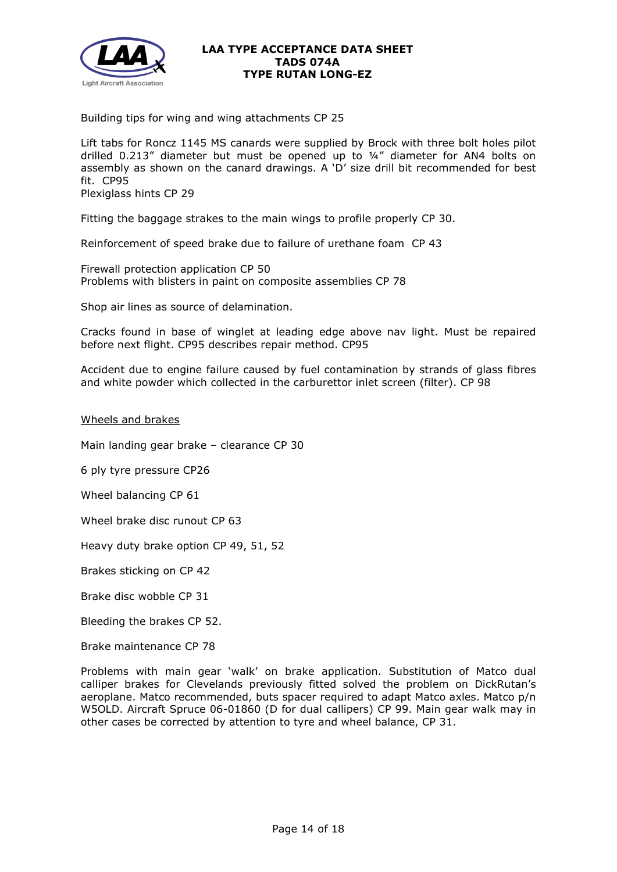

Building tips for wing and wing attachments CP 25

Lift tabs for Roncz 1145 MS canards were supplied by Brock with three bolt holes pilot drilled 0.213" diameter but must be opened up to ¼" diameter for AN4 bolts on assembly as shown on the canard drawings. A 'D' size drill bit recommended for best fit. CP95 Plexiglass hints CP 29

Fitting the baggage strakes to the main wings to profile properly CP 30.

Reinforcement of speed brake due to failure of urethane foam CP 43

Firewall protection application CP 50 Problems with blisters in paint on composite assemblies CP 78

Shop air lines as source of delamination.

Cracks found in base of winglet at leading edge above nav light. Must be repaired before next flight. CP95 describes repair method. CP95

Accident due to engine failure caused by fuel contamination by strands of glass fibres and white powder which collected in the carburettor inlet screen (filter). CP 98

Wheels and brakes

Main landing gear brake – clearance CP 30

6 ply tyre pressure CP26

Wheel balancing CP 61

Wheel brake disc runout CP 63

Heavy duty brake option CP 49, 51, 52

Brakes sticking on CP 42

Brake disc wobble CP 31

Bleeding the brakes CP 52.

Brake maintenance CP 78

Problems with main gear 'walk' on brake application. Substitution of Matco dual calliper brakes for Clevelands previously fitted solved the problem on DickRutan's aeroplane. Matco recommended, buts spacer required to adapt Matco axles. Matco p/n W5OLD. Aircraft Spruce 06-01860 (D for dual callipers) CP 99. Main gear walk may in other cases be corrected by attention to tyre and wheel balance, CP 31.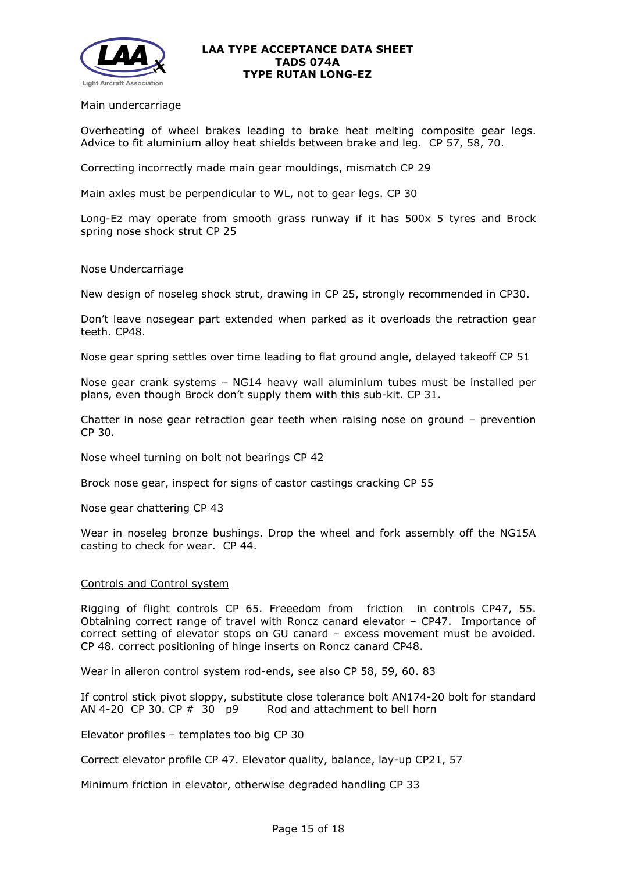

#### Main undercarriage

Overheating of wheel brakes leading to brake heat melting composite gear legs. Advice to fit aluminium alloy heat shields between brake and leg. CP 57, 58, 70.

Correcting incorrectly made main gear mouldings, mismatch CP 29

Main axles must be perpendicular to WL, not to gear legs. CP 30

Long-Ez may operate from smooth grass runway if it has 500x 5 tyres and Brock spring nose shock strut CP 25

#### Nose Undercarriage

New design of noseleg shock strut, drawing in CP 25, strongly recommended in CP30.

Don't leave nosegear part extended when parked as it overloads the retraction gear teeth. CP48.

Nose gear spring settles over time leading to flat ground angle, delayed takeoff CP 51

Nose gear crank systems – NG14 heavy wall aluminium tubes must be installed per plans, even though Brock don't supply them with this sub-kit. CP 31.

Chatter in nose gear retraction gear teeth when raising nose on ground – prevention CP 30.

Nose wheel turning on bolt not bearings CP 42

Brock nose gear, inspect for signs of castor castings cracking CP 55

Nose gear chattering CP 43

Wear in noseleg bronze bushings. Drop the wheel and fork assembly off the NG15A casting to check for wear. CP 44.

#### Controls and Control system

Rigging of flight controls CP 65. Freeedom from friction in controls CP47, 55. Obtaining correct range of travel with Roncz canard elevator – CP47. Importance of correct setting of elevator stops on GU canard – excess movement must be avoided. CP 48. correct positioning of hinge inserts on Roncz canard CP48.

Wear in aileron control system rod-ends, see also CP 58, 59, 60. 83

If control stick pivot sloppy, substitute close tolerance bolt AN174-20 bolt for standard AN 4-20 CP 30, CP  $#$  30 p9 Rod and attachment to bell horn

Elevator profiles – templates too big CP 30

Correct elevator profile CP 47. Elevator quality, balance, lay-up CP21, 57

Minimum friction in elevator, otherwise degraded handling CP 33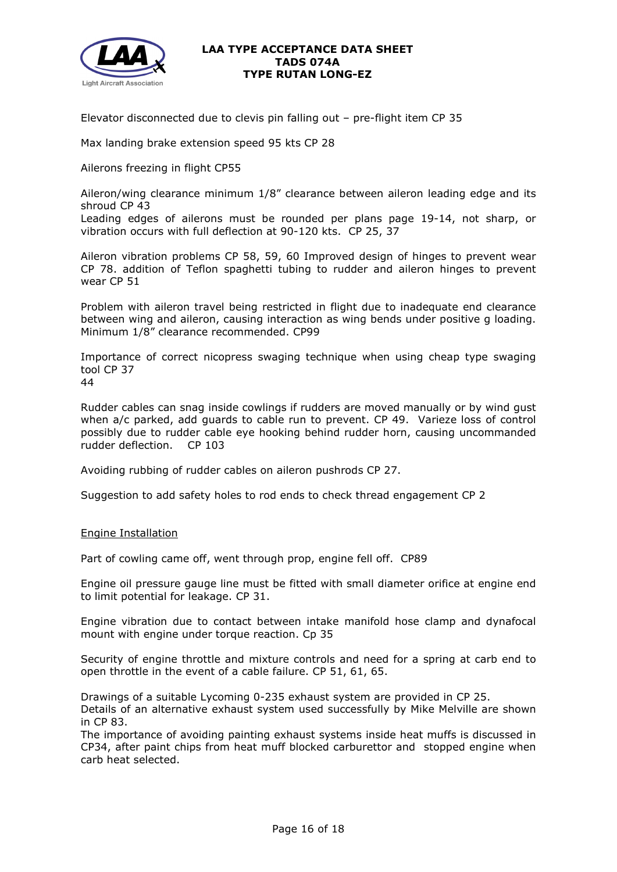

Elevator disconnected due to clevis pin falling out – pre-flight item CP 35

Max landing brake extension speed 95 kts CP 28

Ailerons freezing in flight CP55

Aileron/wing clearance minimum 1/8" clearance between aileron leading edge and its shroud CP 43

Leading edges of ailerons must be rounded per plans page 19-14, not sharp, or vibration occurs with full deflection at 90-120 kts. CP 25, 37

Aileron vibration problems CP 58, 59, 60 Improved design of hinges to prevent wear CP 78. addition of Teflon spaghetti tubing to rudder and aileron hinges to prevent wear CP 51

Problem with aileron travel being restricted in flight due to inadequate end clearance between wing and aileron, causing interaction as wing bends under positive g loading. Minimum 1/8" clearance recommended. CP99

Importance of correct nicopress swaging technique when using cheap type swaging tool CP 37 44

Rudder cables can snag inside cowlings if rudders are moved manually or by wind gust when a/c parked, add guards to cable run to prevent. CP 49. Varieze loss of control possibly due to rudder cable eye hooking behind rudder horn, causing uncommanded rudder deflection. CP 103

Avoiding rubbing of rudder cables on aileron pushrods CP 27.

Suggestion to add safety holes to rod ends to check thread engagement CP 2

#### Engine Installation

Part of cowling came off, went through prop, engine fell off. CP89

Engine oil pressure gauge line must be fitted with small diameter orifice at engine end to limit potential for leakage. CP 31.

Engine vibration due to contact between intake manifold hose clamp and dynafocal mount with engine under torque reaction. Cp 35

Security of engine throttle and mixture controls and need for a spring at carb end to open throttle in the event of a cable failure. CP 51, 61, 65.

Drawings of a suitable Lycoming 0-235 exhaust system are provided in CP 25.

Details of an alternative exhaust system used successfully by Mike Melville are shown in CP 83.

The importance of avoiding painting exhaust systems inside heat muffs is discussed in CP34, after paint chips from heat muff blocked carburettor and stopped engine when carb heat selected.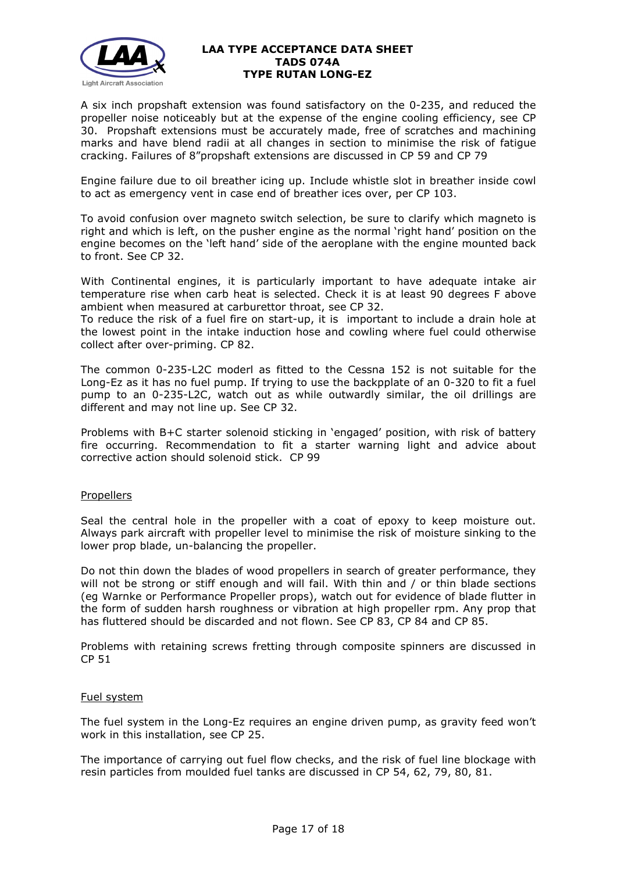

A six inch propshaft extension was found satisfactory on the 0-235, and reduced the propeller noise noticeably but at the expense of the engine cooling efficiency, see CP 30. Propshaft extensions must be accurately made, free of scratches and machining marks and have blend radii at all changes in section to minimise the risk of fatigue cracking. Failures of 8"propshaft extensions are discussed in CP 59 and CP 79

Engine failure due to oil breather icing up. Include whistle slot in breather inside cowl to act as emergency vent in case end of breather ices over, per CP 103.

To avoid confusion over magneto switch selection, be sure to clarify which magneto is right and which is left, on the pusher engine as the normal 'right hand' position on the engine becomes on the 'left hand' side of the aeroplane with the engine mounted back to front. See CP 32.

With Continental engines, it is particularly important to have adequate intake air temperature rise when carb heat is selected. Check it is at least 90 degrees F above ambient when measured at carburettor throat, see CP 32.

To reduce the risk of a fuel fire on start-up, it is important to include a drain hole at the lowest point in the intake induction hose and cowling where fuel could otherwise collect after over-priming. CP 82.

The common 0-235-L2C moderl as fitted to the Cessna 152 is not suitable for the Long-Ez as it has no fuel pump. If trying to use the backpplate of an 0-320 to fit a fuel pump to an 0-235-L2C, watch out as while outwardly similar, the oil drillings are different and may not line up. See CP 32.

Problems with B+C starter solenoid sticking in 'engaged' position, with risk of battery fire occurring. Recommendation to fit a starter warning light and advice about corrective action should solenoid stick. CP 99

# **Propellers**

Seal the central hole in the propeller with a coat of epoxy to keep moisture out. Always park aircraft with propeller level to minimise the risk of moisture sinking to the lower prop blade, un-balancing the propeller.

Do not thin down the blades of wood propellers in search of greater performance, they will not be strong or stiff enough and will fail. With thin and / or thin blade sections (eg Warnke or Performance Propeller props), watch out for evidence of blade flutter in the form of sudden harsh roughness or vibration at high propeller rpm. Any prop that has fluttered should be discarded and not flown. See CP 83, CP 84 and CP 85.

Problems with retaining screws fretting through composite spinners are discussed in CP 51

# Fuel system

The fuel system in the Long-Ez requires an engine driven pump, as gravity feed won't work in this installation, see CP 25.

The importance of carrying out fuel flow checks, and the risk of fuel line blockage with resin particles from moulded fuel tanks are discussed in CP 54, 62, 79, 80, 81.